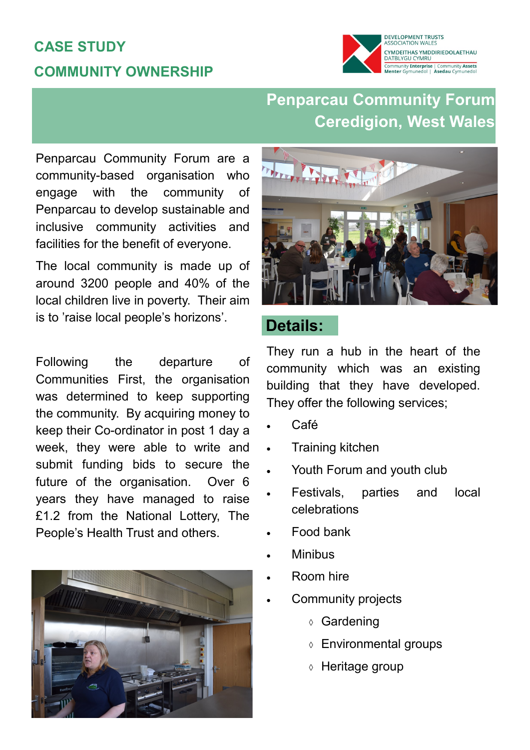## **CASE STUDY COMMUNITY OWNERSHIP**



## **Penparcau Community Forum Ceredigion, West Wales**

Penparcau Community Forum are a community-based organisation who engage with the community of Penparcau to develop sustainable and inclusive community activities and facilities for the benefit of everyone.

The local community is made up of around 3200 people and 40% of the local children live in poverty. Their aim is to 'raise local people's horizons'.

Following the departure of Communities First, the organisation was determined to keep supporting the community. By acquiring money to keep their Co-ordinator in post 1 day a week, they were able to write and submit funding bids to secure the future of the organisation. Over 6 years they have managed to raise £1.2 from the National Lottery, The People's Health Trust and others.





#### **Details:**

They run a hub in the heart of the community which was an existing building that they have developed. They offer the following services;

- Café
- Training kitchen
- Youth Forum and youth club
- Festivals, parties and local celebrations
- Food bank
- Minibus
- Room hire
- Community projects
	- Gardening
	- Environmental groups
	- Heritage group